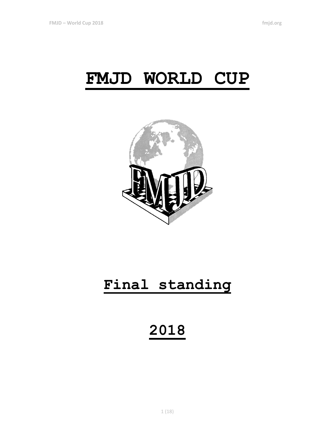# **FMJD WORLD CUP**



# **Final standing**

**2018**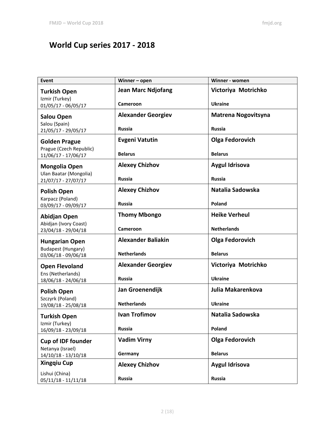# **World Cup series 2017 - 2018**

| Event                                            | Winner - open             | Winner - women             |
|--------------------------------------------------|---------------------------|----------------------------|
| <b>Turkish Open</b><br>Izmir (Turkey)            | <b>Jean Marc Ndjofang</b> | Victoriya Motrichko        |
| 01/05/17 - 06/05/17                              | <b>Cameroon</b>           | <b>Ukraine</b>             |
| <b>Salou Open</b>                                | <b>Alexander Georgiev</b> | <b>Matrena Nogovitsyna</b> |
| Salou (Spain)<br>21/05/17 - 29/05/17             | <b>Russia</b>             | <b>Russia</b>              |
| <b>Golden Prague</b>                             | <b>Evgeni Vatutin</b>     | <b>Olga Fedorovich</b>     |
| Prague (Czech Republic)<br>11/06/17 - 17/06/17   | <b>Belarus</b>            | <b>Belarus</b>             |
| <b>Mongolia Open</b>                             | <b>Alexey Chizhov</b>     | <b>Aygul Idrisova</b>      |
| Ulan Baatar (Mongolia)<br>21/07/17 - 27/07/17    | <b>Russia</b>             | <b>Russia</b>              |
| <b>Polish Open</b>                               | <b>Alexey Chizhov</b>     | Natalia Sadowska           |
| Karpacz (Poland)<br>03/09/17 - 09/09/17          | <b>Russia</b>             | Poland                     |
| Abidjan Open                                     | <b>Thomy Mbongo</b>       | <b>Heike Verheul</b>       |
| Abidjan (Ivory Coast)<br>23/04/18 - 29/04/18     | <b>Cameroon</b>           | <b>Netherlands</b>         |
| <b>Hungarian Open</b>                            | <b>Alexander Baliakin</b> | <b>Olga Fedorovich</b>     |
| <b>Budapest (Hungary)</b><br>03/06/18 - 09/06/18 | <b>Netherlands</b>        | <b>Belarus</b>             |
| <b>Open Flevoland</b>                            | <b>Alexander Georgiev</b> | Victoriya Motrichko        |
| Ens (Netherlands)<br>18/06/18 - 24/06/18         | <b>Russia</b>             | <b>Ukraine</b>             |
| <b>Polish Open</b>                               | Jan Groenendijk           | Julia Makarenkova          |
| Szczyrk (Poland)<br>19/08/18 - 25/08/18          | <b>Netherlands</b>        | <b>Ukraine</b>             |
| <b>Turkish Open</b>                              | <b>Ivan Trofimov</b>      | Natalia Sadowska           |
| Izmir (Turkey)<br>16/09/18 - 23/09/18            | <b>Russia</b>             | Poland                     |
| <b>Cup of IDF founder</b>                        | <b>Vadim Virny</b>        | <b>Olga Fedorovich</b>     |
| Netanya (Israel)<br>$14/10/18 - 13/10/18$        | Germany                   | <b>Belarus</b>             |
| <b>Xingqiu Cup</b>                               | <b>Alexey Chizhov</b>     | <b>Aygul Idrisova</b>      |
| Lishui (China)<br>$05/11/18 - 11/11/18$          | <b>Russia</b>             | Russia                     |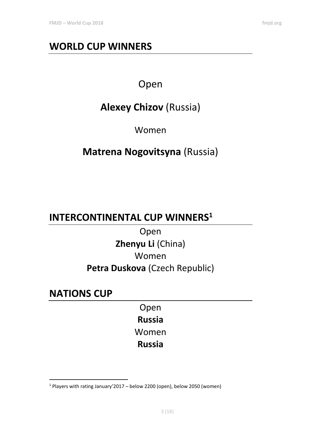# **WORLD CUP WINNERS**

## Open

# **Alexey Chizov** (Russia)

Women

# **Matrena Nogovitsyna** (Russia)

# **INTERCONTINENTAL CUP WINNERS<sup>1</sup>**

Open **Zhenyu Li** (China) Women **Petra Duskova** (Czech Republic)

## **NATIONS CUP**

 $\overline{a}$ 

Open

**Russia**

Women

**Russia**

<sup>1</sup> Players with rating January'2017 – below 2200 (open), below 2050 (women)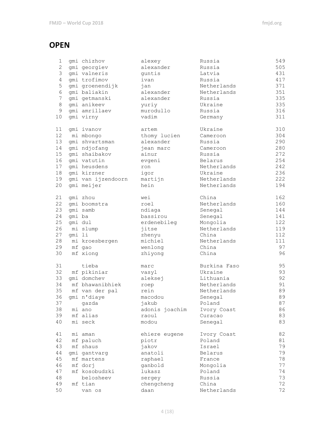#### **OPEN**

| 1              |        | gmi chizhov        | alexey         | Russia       | 549 |
|----------------|--------|--------------------|----------------|--------------|-----|
| $\overline{2}$ |        | gmi georgiev       | alexander      | Russia       | 505 |
| 3              |        | gmi valneris       | quntis         | Latvia       | 431 |
| 4              |        | qmi trofimov       | ivan           | Russia       | 417 |
| 5              |        | gmi groenendijk    | jan            | Netherlands  | 371 |
| 6              |        | qmi baliakin       | alexander      | Netherlands  | 351 |
| $7\phantom{.}$ |        | gmi getmanski      | alexander      | Russia       | 335 |
| 8              |        | qmi anikeev        | yuriy          | Ukraine      | 335 |
| 9              |        | gmi amrillaev      | murodullo      | Russia       | 316 |
| 10             |        | gmi virny          | vadim          | Germany      | 311 |
|                |        |                    |                |              |     |
| 11             |        | gmi ivanov         | artem          | Ukraine      | 310 |
| 12             |        | mi mbongo          | thomy lucien   | Cameroon     | 304 |
| 13             |        | qmi shvartsman     | alexander      | Russia       | 290 |
| 14             |        | gmi ndjofang       | jean marc      | Cameroon     | 280 |
| 15             |        | gmi shaibakov      | ainur          | Russia       | 272 |
| 16             |        | qmi vatutin        | evgeni         | Belarus      | 254 |
| 17             |        | gmi heusdens       | ron            | Netherlands  | 242 |
| 18             |        | gmi kirzner        | igor           | Ukraine      | 236 |
| 19             |        | gmi van ijzendoorn | martijn        | Netherlands  | 222 |
| 20             |        | gmi meijer         | hein           | Netherlands  | 194 |
|                |        |                    |                |              |     |
| 21             |        | qmi zhou           | wei            | China        | 162 |
| 22             |        | qmi boomstra       | roel           | Netherlands  | 160 |
| 23             |        | qmi samb           | ndiaga         | Senegal      | 144 |
| 24             | qmi ba |                    | bassirou       | Senegal      | 141 |
| 25             |        | gmi dul            | erdenebileg    | Mongolia     | 122 |
| 26             |        | mi slump           | jitse          | Netherlands  | 119 |
| 27             | gmi li |                    | zhenyu         | China        | 112 |
| 28             |        | mi kroesbergen     | michiel        | Netherlands  | 111 |
| 29             |        | mf gao             | wenlong        | China        | 97  |
| 30             |        | mf xiong           | zhiyong        | China        | 96  |
|                |        |                    |                |              |     |
| 31             |        | tieba              | marc           | Burkina Faso | 95  |
| 32             |        | mf pikiniar        | vasyl          | Ukraine      | 93  |
| 33             |        | qmi domchev        | aleksej        | Lithuania    | 92  |
| 34             |        | mf bhawanibhiek    | roep           | Netherlands  | 91  |
| 35             |        | mf van der pal     | rein           | Netherlands  | 89  |
| 36             |        | qmi n'diaye        | macodou        | Senegal      | 89  |
| 37             |        | gazda              | iakub          | Poland       | 87  |
| 38             |        | mi ano             | adonis joachim | Ivory Coast  | 86  |
| 39             |        | mf alias           | raoul          | Curacao      | 83  |
| 40             |        | mi seck            | modou          | Senegal      | 83  |
|                |        |                    |                |              |     |
| 41             |        | mi aman            | ehiere eugene  | Ivory Coast  | 82  |
| 42             |        | mf paluch          | piotr          | Poland       | 81  |
| 43             |        | mf shaus           | jakov          | Israel       | 79  |
| 44             |        | gmi gantvarg       | anatoli        | Belarus      | 79  |
| 45             |        | mf martens         | raphael        | France       | 78  |
| 46             |        | mf dorj            | ganbold        | Mongolia     | 77  |
| 47             |        | mf kosobudzki      | lukasz         | Poland       | 74  |
| 48             |        | belosheev          | sergey         | Russia       | 73  |
| 49             |        | mf tian            | chengcheng     | China        | 72  |
| 50             |        | van os             | daan           | Netherlands  | 72  |
|                |        |                    |                |              |     |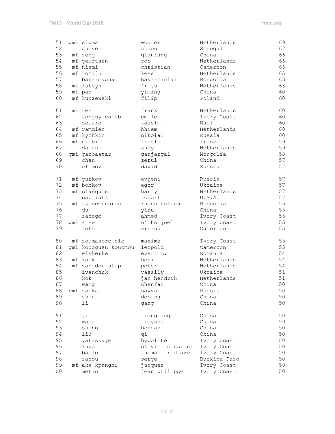| 51       | gmi sipma            | wouter           | Netherlands    | 69 |
|----------|----------------------|------------------|----------------|----|
| 52       | queye                | abdou            | Senegal        | 67 |
| 53       | mf zeng              | qianrang         | China          | 66 |
| 54       | mf geurtsen          | rob              | Netherlands    | 66 |
| 55       | mf niami             | christian        | Cameroon       | 66 |
| 56       | mf romijn            | kees             | Netherlands    | 65 |
| 57       | bayarmagnai          | bayarmanlai      | Mongolia       | 63 |
| 58       | mi luteyn            | frits            | Netherlands    | 63 |
| 59       | mi pan               | yiming           | China          | 60 |
| 60       | mf kuczewski         | filip            | Poland         | 60 |
|          |                      |                  |                |    |
| 61       | mi teer              | frank            | Netherlands    | 60 |
| 62       | tonguy caleb         | emile            | Ivory Coast    | 60 |
| 63       | souare               | kassim           | Mali           | 60 |
| 64       | mf ramdien           | bhiem            | Netherlands    | 60 |
| 65       | mf kychkin           | nikolai          | Russia         | 60 |
| 66       | mf nimbi             | fidele           | France         | 59 |
| 67       | damen                | andy             | Netherlands    | 59 |
| 68       | qmi qanbaatar        | ganjargal        | Mongolia       | 58 |
| 69       | chen                 | zerui            | China          | 57 |
| 70       | efimov               | david            | Russia         | 57 |
|          |                      |                  |                |    |
| 71       | mf gurkov            | evgeni           | Russia         | 57 |
| 72       | mf bobkov            | egor             | Ukraine        | 57 |
| 73       | mf clasquin          | harry            | Netherlands    | 57 |
| 74       | capriata             | robert           | U.S.A.         | 57 |
| 75       | mf tseveensuren      | khashchuluun     | Mongolia       | 56 |
| 76       | du                   | yifu             | China          | 55 |
| 77       | sanogo               | ahmed            | Ivory Coast    | 55 |
| 78       | qmi atse             | n'cho joel       | Ivory Coast    | 55 |
| 79       | foto                 | arnaud           | Cameroon       | 55 |
|          |                      |                  |                |    |
| 80       | mf soumahoro zio     | maxime           | Ivory Coast    | 55 |
| 81       | gmi kouogueu kouomou | leopold          | Cameroon       | 55 |
| 82       | wiskerke             | evert m.         | Romania        | 54 |
| 83       | mf kalk              | henk             | Netherlands    | 54 |
| 84       | mf van der stap      | peter            | Netherlands    | 54 |
| 85       | ivanchuk             | vassily          | Ukraine        | 51 |
| 86       | kok                  | jan hendrik      | Netherlands    | 51 |
| 87       | wang                 | chenfan          | China          | 50 |
| 88       | cmf zaika            | savva            | Russia         | 50 |
| 89       | zhou                 | debang           | China          | 50 |
| 90       | li                   | gang             | China          | 50 |
| 91       | jin                  | jianqiang        | China          | 50 |
| 92       |                      |                  | China          | 50 |
|          | wang                 | jiayang          |                |    |
| 93<br>94 | sheng<br>liu         | hongan           | China<br>China | 50 |
|          |                      | qi               |                | 50 |
| 95       | yatassaye            | hypolite         | Ivory Coast    | 50 |
| 96       | kuyo                 | olivier constant | Ivory Coast    | 50 |
| 97       | ballo                | thomas jr djaze  | Ivory Coast    | 50 |
| 98       | sanou                | serge            | Burkina Faso   | 50 |
| 99       | mf aka kpangni       | jacques          | Ivory Coast    | 50 |
| 100      | metio                | jean philippe    | Ivory Coast    | 50 |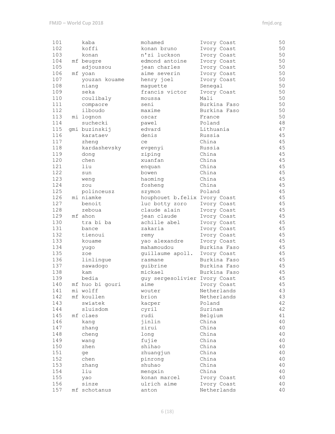| 101 | kaba            | mohamed                       | Ivory Coast  | 50     |
|-----|-----------------|-------------------------------|--------------|--------|
| 102 | koffi           | konan bruno                   | Ivory Coast  | 50     |
| 103 | konan           | n'zi luckson                  | Ivory Coast  | 50     |
| 104 | mf beugre       | edmond antoine                | Ivory Coast  | 50     |
| 105 | adjoussou       | jean charles                  | Ivory Coast  | 50     |
| 106 | mf yoan         | aime severin                  | Ivory Coast  | 50     |
| 107 | youzan kouame   | henry joel                    | Ivory Coast  | 50     |
| 108 | niang           | maguette                      | Senegal      | 50     |
| 109 | seka            | francis victor                | Ivory Coast  | 50     |
| 110 | coulibaly       | moussa                        | Mali         | 50     |
| 111 | compaore        | seni                          | Burkina Faso | 50     |
| 112 | ilboudo         | maxime                        | Burkina Faso | 50     |
| 113 | mi lognon       | oscar                         | France       | 50     |
| 114 | suchecki        | pawel                         | Poland       | $4\,8$ |
| 115 | gmi buzinskij   | edvard                        | Lithuania    | 47     |
| 116 | karataev        | denis                         | Russia       | 45     |
| 117 | zheng           | ce                            | China        | 45     |
| 118 | kardashevsky    | evgenyi                       | Russia       | 45     |
| 119 | dong            | ziping                        | China        | 45     |
| 120 | chen            | xuanfan                       | China        | 45     |
| 121 | liu             | enquan                        | China        | 45     |
| 122 | sun             | bowen                         | China        | 45     |
| 123 | weng            | haoming                       | China        | 45     |
| 124 | zou             | fosheng                       | China        | 45     |
| 125 | polinceusz      | szymon                        | Poland       | 45     |
| 126 | mi niamke       | houphouet b.felix Ivory Coast |              | 45     |
| 127 | benoit          | luc botty zoro                | Ivory Coast  | 45     |
| 128 | zeboua          | claude alain                  | Ivory Coast  | 45     |
| 129 | mf ahon         | jean claude                   | Ivory Coast  | 45     |
| 130 | tra bi ba       | achille abel                  | Ivory Coast  | 45     |
| 131 | bance           | zakaria                       | Ivory Coast  | 45     |
| 132 | tienoui         | remy                          | Ivory Coast  | 45     |
| 133 | kouame          | yao alexandre                 | Ivory Coast  | 45     |
| 134 | yugo            | mahamoudou                    | Burkina Faso | 45     |
| 135 | zoe             | guillaume apoll.              | Ivory Coast  | 45     |
| 136 | linlingue       | rasmane                       | Burkina Faso | 45     |
| 137 | sawadogo        | guibrine                      | Burkina Faso | 45     |
| 138 | kam             | mickael                       | Burkina Faso | 45     |
| 139 | bedia           | guy sergesolivier Ivory Coast |              | 45     |
| 140 | mf huo bi gouri | aime                          | Ivory Coast  | $4\,5$ |
| 141 | mi wolff        | wouter                        | Netherlands  | 43     |
| 142 | mf koullen      | brion                         | Netherlands  | 43     |
| 143 | swiatek         | kacper                        | Poland       | 42     |
| 144 | sluisdom        | cyril                         | Surinam      | 42     |
| 145 | mf claes        | rudi                          | Belgium      | 41     |
| 146 | kang            | jinlin                        | China        | 40     |
| 147 | zhang           | zirui                         | China        | 40     |
| 148 | cheng           | long                          | China        | 40     |
| 149 | wang            | fujie                         | China        | 40     |
| 150 | zhen            | shihao                        | China        | 40     |
| 151 | ge              | zhuangjun                     | China        | 40     |
| 152 | chen            | pinrong                       | China        | 40     |
| 153 | zhang           | shuhao                        | China        | 40     |
| 154 | liu             | mengxin                       | China        | 40     |
| 155 | yao             | konan marcel                  | Ivory Coast  | 40     |
| 156 | sinze           | ulrich aime                   | Ivory Coast  | 40     |
| 157 | mf schotanus    | anton                         | Netherlands  | 40     |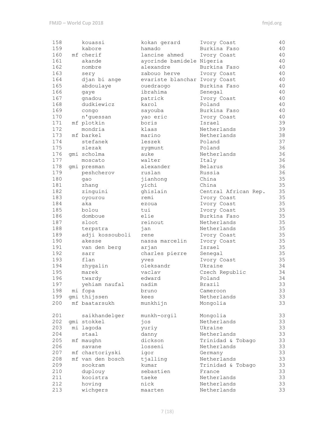| 158 | kouassi          | kokan gerard                  | Ivory Coast           | 40 |
|-----|------------------|-------------------------------|-----------------------|----|
| 159 | kabore           | hamado                        | Burkina Faso          | 40 |
| 160 | mf cherif        | lancine ahmed                 | Ivory Coast           | 40 |
| 161 |                  |                               |                       | 40 |
|     | akande           | ayorinde bamidele Nigeria     |                       |    |
| 162 | nombre           | alexandre                     | Burkina Faso          | 40 |
| 163 | sery             | zabouo herve                  | Ivory Coast           | 40 |
| 164 | djan bi ange     | evariste blanchar Ivory Coast |                       | 40 |
| 165 | abdoulaye        | ouedraogo                     | Burkina Faso          | 40 |
| 166 | qaye             | ibrahima                      | Senegal               | 40 |
| 167 | gnadou           | patrick                       | Ivory Coast           | 40 |
| 168 | dudkiewicz       | karol                         | Poland                | 40 |
| 169 | congo            | sayouba                       | Burkina Faso          | 40 |
| 170 | n'guessan        | yao eric                      | Ivory Coast           | 40 |
| 171 | mf plotkin       | boris                         | Israel                | 39 |
| 172 | mondria          | klaas                         | Netherlands           | 39 |
| 173 | mf barkel        | marino                        | Netherlands           | 38 |
| 174 | stefanek         | leszek                        | Poland                | 37 |
| 175 | slezak           | zygmunt                       | Poland                | 36 |
| 176 | qmi scholma      | auke                          | Netherlands           | 36 |
| 177 | moscato          | walter                        | Italy                 | 36 |
| 178 |                  | alexander                     |                       | 36 |
|     | qmi presman      |                               | Belarus               |    |
| 179 | peshcherov       | ruslan                        | Russia                | 36 |
| 180 | gao              | jianhong                      | China                 | 35 |
| 181 | zhang            | yichi                         | China                 | 35 |
| 182 | zinguini         | ghislain                      | Central African Rep.  | 35 |
| 183 | oyourou          | remi                          | Ivory Coast           | 35 |
| 184 | aka              | ezoua                         | Ivory Coast           | 35 |
| 185 | bolou            | tui                           | Ivory Coast           | 35 |
| 186 | domboue          | elie                          | Burkina Faso          | 35 |
| 187 | sloot            | reinout                       | Netherlands           | 35 |
| 188 | terpstra         | jan                           | Netherlands           | 35 |
| 189 | adji kossouboli  | rene                          | Ivory Coast           | 35 |
| 190 | akesse           | nassa marcelin                | Ivory Coast           | 35 |
| 191 | van den berg     | arjan                         | Israel                | 35 |
| 192 | sarr             | charles pierre                | Senegal               | 35 |
| 193 | flan             | vves                          | Ivory Coast           | 35 |
| 194 | zhygalin         | oleksandr                     | Ukraine               | 34 |
| 195 | marek            | vaclav                        | Czech Republic        | 34 |
| 196 | twardy           | edward                        | Poland                | 34 |
| 197 | yehiam naufal    | nadim                         | Brazil                | 33 |
| 198 | mi fopa          | bruno                         | Cameroon              | 33 |
| 199 | qmi thijssen     |                               |                       | 33 |
|     |                  | kees                          | Netherlands           |    |
| 200 | mf baatarsukh    | munkhijn                      | Mongolia              | 33 |
| 201 | saikhandelger    | munkh-orgil                   | Mongolia              | 33 |
| 202 | gmi stokkel      | jos                           | Netherlands           | 33 |
| 203 | mi lagoda        | yuriy                         | Ukraine               | 33 |
| 204 | staal            | danny                         | Netherlands           | 33 |
| 205 | mf maughn        | dickson                       | Trinidad & Tobago     | 33 |
| 206 | savane           | losseni                       | Netherlands           | 33 |
| 207 | mf chartoriyski  | igor                          | Germany               | 33 |
| 208 | mf van den bosch | tjalling                      | Netherlands           | 33 |
| 209 | sookram          | kumar                         | Trinidad & Tobago     | 33 |
| 210 |                  | sebastien                     |                       | 33 |
|     | duplouy          |                               | France<br>Netherlands | 33 |
| 211 | kooistra         | taeke                         |                       |    |
| 212 | hoving           | nick                          | Netherlands           | 33 |
| 213 | wichgers         | maarten                       | Netherlands           | 33 |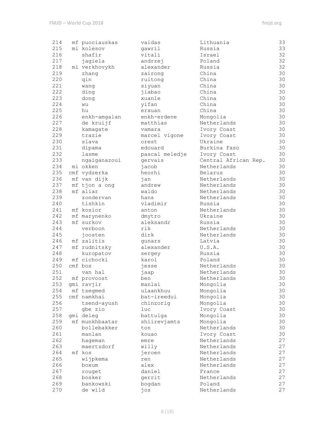| 214 | mf puociauskas | vaidas         | Lithuania            | 33   |
|-----|----------------|----------------|----------------------|------|
| 215 | mi kolesov     | gawril         | Russia               | 33   |
| 216 | shafir         | vitali         | Israel               | 32   |
| 217 | jagiela        | andrzej        | Poland               | 32   |
| 218 | mi verkhovykh  | alexander      | Russia               | 32   |
| 219 |                |                | China                | 30   |
|     | zhang          | zairong        |                      |      |
| 220 | qin            | ruitong        | China                | 30   |
| 221 | wang           | siyuan         | China                | 30   |
| 222 | ding           | jiabao         | China                | 30   |
| 223 | dong           | xuanle         | China                | 30   |
| 224 | wu             | yifan          | China                | 30   |
| 225 | hu             | erxuan         | China                | 30   |
| 226 | enkh-amgalan   | enkh-erdene    | Mongolia             | 30   |
| 227 | de kruijf      | matthias       | Netherlands          | $30$ |
| 228 | kamagate       | vamara         | Ivory Coast          | 30   |
| 229 | trazie         | marcel vigone  | Ivory Coast          | 30   |
| 230 | slava          | orest          | Ukraine              | 30   |
| 231 | dipama         | edouard        | Burkina Faso         | 30   |
| 232 | lasme          | pascal meledje | Ivory Coast          | 30   |
| 233 | ngaiganazoui   | gervais        | Central African Rep. | 30   |
| 234 | mi okken       | jacob          | Netherlands          | 30   |
| 235 |                |                |                      | 30   |
|     | cmf vydzerka   | heorhi         | Belarus              |      |
| 236 | mf van dijk    | jan            | Netherlands          | 30   |
| 237 | mf tjon a ong  | andrew         | Netherlands          | 30   |
| 238 | mf aliar       | waldo          | Netherlands          | 30   |
| 239 | zondervan      | hans           | Netherlands          | 30   |
| 240 | tishkin        | vladimir       | Russia               | 30   |
| 241 | mf kosior      | anton          | Netherlands          | 30   |
| 242 | mf marynenko   | dmytro         | Ukraine              | 30   |
| 243 | mf surkov      | aleksandr      | Russia               | 30   |
| 244 | verboon        | rik            | Netherlands          | $30$ |
| 245 | joosten        | dirk           | Netherlands          | 30   |
| 246 | mf zalitis     | qunars         | Latvia               | 30   |
| 247 | mf rudnitsky   | alexander      | U.S.A.               | 30   |
| 248 | kuropatov      | sergey         | Russia               | 30   |
| 249 | mf cichocki    | karol          | Poland               | 30   |
| 250 | cmf bos        | jesse          | Netherlands          | 30   |
| 251 | van hal        |                | Netherlands          | 30   |
| 252 | mf provoost    | jaap<br>ben    | Netherlands          | 30   |
|     |                |                |                      |      |
| 253 | gmi ravjir     | manlai         | Mongolia             | 30   |
| 254 | mf tsegmed     | ulaankhuu      | Mongolia             | 30   |
| 255 | cmf namkhai    | bat-ireedui    | Mongolia             | 30   |
| 256 | tsend-ayush    | chinzorig      | Mongolia             | 30   |
| 257 | gbe zio        | luc            | Ivory Coast          | 30   |
| 258 | gmi deleg      | battulga       | Mongolia             | 30   |
| 259 | mf munkhbaatar | shiirevjamts   | Mongolia             | 30   |
| 260 | bollebakker    | ton            | Netherlands          | 30   |
| 261 | manlan         | kouao          | Ivory Coast          | 30   |
| 262 | hageman        | emre           | Netherlands          | 27   |
| 263 | maertzdorf     | willy          | Netherlands          | 27   |
| 264 | mf kos         | jeroen         | Netherlands          | 27   |
| 265 | wijpkema       | ren            | Netherlands          | 27   |
| 266 | boxum          | alex           | Netherlands          | 27   |
| 267 | rouget         | daniel         | France               | 27   |
| 268 | bosker         | gerrit         | Netherlands          | 27   |
| 269 | bankowski      |                | Poland               | 27   |
|     |                | bogdan         |                      | 27   |
| 270 | de wild        | jos            | Netherlands          |      |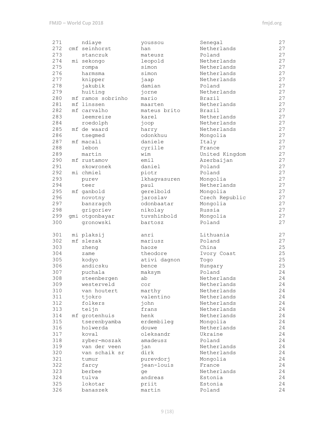| 271 | ndiaye            | youssou      | Senegal        | 27 |
|-----|-------------------|--------------|----------------|----|
| 272 | cmf seinhorst     | han          | Netherlands    | 27 |
| 273 | stanczuk          | mateusz      | Poland         | 27 |
| 274 | mi sekongo        | leopold      | Netherlands    | 27 |
| 275 | rompa             | simon        | Netherlands    | 27 |
| 276 | harmsma           | simon        | Netherlands    | 27 |
| 277 | knipper           | jaap         | Netherlands    | 27 |
| 278 | jakubik           | damian       | Poland         | 27 |
| 279 | huiting           | jorne        | Netherlands    | 27 |
| 280 | mf ramos sobrinho | mario        | Brazil         | 27 |
| 281 | mf linssen        | maarten      | Netherlands    | 27 |
| 282 | mf carvalho       | mateus brito | Brazil         | 27 |
| 283 | leemreize         | karel        | Netherlands    | 27 |
| 284 | roedolph          | joop         | Netherlands    | 27 |
| 285 | mf de waard       | harry        | Netherlands    | 27 |
| 286 | tsegmed           | odonkhuu     | Mongolia       | 27 |
| 287 | mf macali         | daniele      | Italy          | 27 |
| 288 | lebon             | cyrille      | France         | 27 |
| 289 | martin            | wim          | United Kingdom | 27 |
| 290 | mf rustamov       | emil         | Azerbaijan     | 27 |
| 291 | skowronek         | daniel       | Poland         | 27 |
| 292 | mi chmiel         | piotr        | Poland         | 27 |
| 293 | purev             | lkhagvasuren | Mongolia       | 27 |
| 294 | teer              | paul         | Netherlands    | 27 |
| 295 | mf ganbold        | gerelbold    | Mongolia       | 27 |
| 296 | novotny           | jaroslav     | Czech Republic | 27 |
| 297 | banzragch         | odonbaatar   | Mongolia       | 27 |
| 298 | grigoriev         | nikolay      | Russia         | 27 |
| 299 | gmi otgonbayar    | tuvshinbold  | Mongolia       | 27 |
| 300 | gronowski         | bartosz      | Poland         | 27 |
|     |                   |              |                |    |
| 301 | mi plaksij        | anri         | Lithuania      | 27 |
| 302 | mf slezak         | mariusz      | Poland         | 27 |
| 303 | zheng             | haoze        | China          | 25 |
| 304 | zame              | theodore     | Ivory Coast    | 25 |
| 305 | kodyo             | ativi dagnon | Togo           | 25 |
| 306 | andicsku          | bence        | Hungary        | 25 |
| 307 | puchala           | maksym       | Poland         | 24 |
| 308 | steenbergen       | ab           | Netherlands    | 24 |
| 309 | westerveld        | cor          | Netherlands    | 24 |
| 310 | van houtert       | marthy       | Netherlands    | 24 |
| 311 | tjokro            | valentino    | Netherlands    | 24 |
| 312 | folkers           | john         | Netherlands    | 24 |
| 313 | teijn             | frans        | Netherlands    | 24 |
| 314 | mf grotenhuis     | henk         | Netherlands    | 24 |
| 315 | tserenbyamba      | erdembileg   | Mongolia       | 24 |
| 316 | holwerda          | douwe        | Netherlands    | 24 |
| 317 | koval             | oleksandr    | Ukraine        | 24 |
| 318 | zyber-moszak      | amadeusz     | Poland         | 24 |
| 319 | van der veen      | jan          | Netherlands    | 24 |
| 320 | van schaik sr     | dirk         | Netherlands    | 24 |
| 321 | tumur             | purevdorj    | Mongolia       | 24 |
| 322 | farcy             | jean-louis   | France         | 24 |
| 323 | berbee            | ge           | Netherlands    | 24 |
| 324 | tulva             | andreas      | Estonia        | 24 |
| 325 | lokotar           | priit        | Estonia        | 24 |
| 326 | banaszek          | martin       | Poland         | 24 |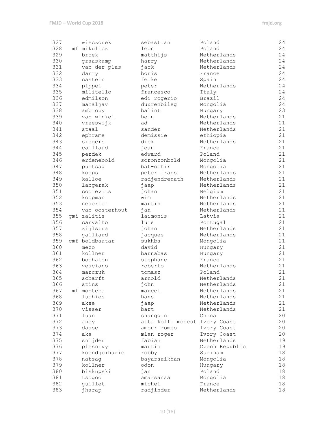| 327 | wieczorek      | sebastian                     | Poland         | 24 |
|-----|----------------|-------------------------------|----------------|----|
| 328 | mf mikulicz    | leon                          | Poland         | 24 |
| 329 | broek          | matthijs                      | Netherlands    | 24 |
| 330 | graaskamp      | harry                         | Netherlands    | 24 |
| 331 | van der plas   | jack                          | Netherlands    | 24 |
| 332 | darry          | boris                         | France         | 24 |
| 333 | castein        | feike                         | Spain          | 24 |
| 334 | pippel         | peter                         | Netherlands    | 24 |
| 335 | militello      | francesco                     | Italy          | 24 |
| 336 | edmilson       | edi rogerio                   | Brazil         | 24 |
| 337 | manaljav       | duurenbileg                   | Mongolia       | 24 |
| 338 | ambrozy        | balint                        | Hungary        | 23 |
| 339 | van winkel     | hein                          | Netherlands    | 21 |
| 340 |                |                               | Netherlands    | 21 |
|     | vreeswijk      | ad                            |                |    |
| 341 | staal          | sander                        | Netherlands    | 21 |
| 342 | ephrame        | demissie                      | ethiopia       | 21 |
| 343 | siegers        | dick                          | Netherlands    | 21 |
| 344 | caillaud       | iean                          | France         | 21 |
| 345 | perdek         | edward                        | Poland         | 21 |
| 346 | erdenebold     | soronzonbold                  | Mongolia       | 21 |
| 347 | puntsag        | bat-ochir                     | Mongolia       | 21 |
| 348 | koops          | peter frans                   | Netherlands    | 21 |
| 349 | kalloe         | radjendrenath                 | Netherlands    | 21 |
| 350 | langerak       | jaap                          | Netherlands    | 21 |
| 351 | coorevits      | johan                         | Belgium        | 21 |
| 352 | koopman        | wim                           | Netherlands    | 21 |
| 353 | nederlof       | martin                        | Netherlands    | 21 |
| 354 | van oosterhout | jan                           | Netherlands    | 21 |
| 355 | qmi zalitis    | laimonis                      | Latvia         | 21 |
| 356 | carvalho       | luis                          | Portugal       | 21 |
| 357 | zijlstra       | johan                         | Netherlands    | 21 |
| 358 | galliard       | jacques                       | Netherlands    | 21 |
| 359 | cmf boldbaatar | sukhba                        | Mongolia       | 21 |
| 360 | mezo           | david                         | Hungary        | 21 |
| 361 | kollner        | barnabas                      | Hungary        | 21 |
| 362 | bochaton       | stephane                      | France         | 21 |
| 363 | vesciano       | roberto                       | Netherlands    | 21 |
| 364 | marczuk        | tomasz                        | Poland         | 21 |
| 365 | scharft        | arnold                        | Netherlands    | 21 |
| 366 | stins          | john                          | Netherlands    | 21 |
| 367 | mf monteba     | marcel                        | Netherlands    | 21 |
| 368 | luchies        | hans                          | Netherlands    | 21 |
| 369 | akse           |                               | Netherlands    | 21 |
|     |                | jaap                          | Netherlands    | 21 |
| 370 | visser         | bart                          |                |    |
| 371 | luan           | shangqin                      | China          | 20 |
| 372 | aney           | atta koffi modest Ivory Coast |                | 20 |
| 373 | dasse          | amour romeo                   | Ivory Coast    | 20 |
| 374 | aka            | mlan roger                    | Ivory Coast    | 20 |
| 375 | snijder        | fabian                        | Netherlands    | 19 |
| 376 | plesnivy       | martin                        | Czech Republic | 19 |
| 377 | koendjbiharie  | robby                         | Surinam        | 18 |
| 378 | natsag         | bayarsaikhan                  | Mongolia       | 18 |
| 379 | kollner        | odon                          | Hungary        | 18 |
| 380 | biskupski      | jan                           | Poland         | 18 |
| 381 | tsogoo         | amarsanaa                     | Mongolia       | 18 |
| 382 | guillet        | michel                        | France         | 18 |
| 383 | jharap         | radjinder                     | Netherlands    | 18 |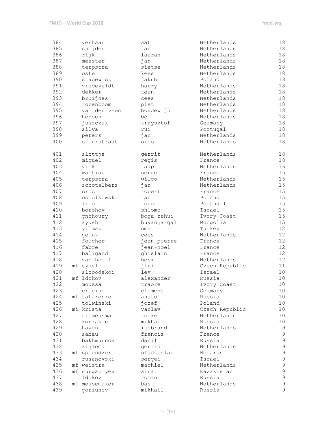| 384 | verhaar       | aat         | Netherlands    | 18              |
|-----|---------------|-------------|----------------|-----------------|
| 385 | snijder       | jan         | Netherlands    | 18              |
| 386 | rijk          | lauran      | Netherlands    | 18              |
| 387 | meester       | jan         | Netherlands    | 18              |
| 388 | terpstra      | sietse      | Netherlands    | 18              |
| 389 | oste          | kees        | Netherlands    | 18              |
| 390 | stacewicz     | jakub       | Poland         | 18              |
| 391 | vredeveldt    | harry       | Netherlands    | 18              |
| 392 | dekker        | teun        | Netherlands    | 18              |
| 393 | bruijnes      | cees        | Netherlands    | 18              |
| 394 | rozenboom     | piet        | Netherlands    | 18              |
| 395 | van der veen  | boudewijn   | Netherlands    | 18              |
| 396 | hensen        | bé          | Netherlands    | 18              |
| 397 | juszczak      | krzysztof   | Germany        | 18              |
| 398 | silva         | rui         | Portugal       | 18              |
| 399 | peters        | jan         | Netherlands    | 18              |
| 400 | stuurstraat   | nico        | Netherlands    | 18              |
|     |               |             |                |                 |
| 401 | slottje       | gerrit      | Netherlands    | 18              |
| 402 | miquel        | regis       | France         | 18              |
| 403 | vink          | jaap        | Netherlands    | 16              |
| 404 | wastiau       | serge       | France         | 15              |
| 405 | terpstra      | wilco       | Netherlands    | 15              |
| 406 | schotalbers   | jan         | Netherlands    | 15              |
| 407 | croc          | robert      | France         | 15              |
| 408 | osiolkowski   | jan         | Poland         | 15              |
| 409 | lino          | jose        | Portugal       | 15              |
| 410 | borohov       | shlomo      | Israel         | 15              |
| 411 | gnohoury      | boga zahui  | Ivory Coast    | 15              |
| 412 | ayush         | buyanjargal | Mongolia       | 15              |
| 413 | yilmaz        | omer        | Turkey         | 12 <sup>°</sup> |
| 414 | geluk         | cees        | Netherlands    | 12 <sup>°</sup> |
| 415 | foucher       | jean pierre | France         | 12              |
| 416 | fabre         | jean-noel   | France         | 12              |
| 417 | baligand      | ghislain    | France         | 12              |
| 418 | van hooff     | henk        | Netherlands    | 12              |
| 419 | mf sysel      | jiri        | Czech Republic | 11              |
| 420 | slobodskoi    | lev         | Israel         | 10              |
| 421 | mf ldokov     | alexander   | Russia         | 10              |
| 422 | moussa        | traore      | Ivory Coast    | 10              |
| 423 | crucius       | clemens     | Germany        | 10              |
| 424 | mf tatarenko  | anatoli     | Russia         | 10              |
| 425 | tolwinski     | jozef       | Poland         | 10              |
| 426 | mi krista     | vaclav      | Czech Republic | 10              |
| 427 | tiemensma     | foeke       | Netherlands    | 10              |
| 428 | koriakin      | mikhail     | Russia         | 10              |
| 429 | haven         | ijsbrand    | Netherlands    | $\mathsf 9$     |
| 430 | sabau         | francis     | France         | $\mathsf 9$     |
| 431 | bakhmurnov    | danil       | Russia         | $\mathsf 9$     |
| 432 | zijlema       | gerard      | Netherlands    | $\mathsf 9$     |
| 433 | mf splendzer  | uladzislau  | Belarus        | 9               |
| 434 | rusanovski    | sergei      | Israel         | 9               |
| 435 | mf weistra    | machiel     | Netherlands    | $\mathcal{G}$   |
| 436 | mf nurgaziyev | airat       | Kazakhstan     | $\mathsf{S}$    |
| 437 | ldokov        | roman       | Russia         | $\mathsf{S}$    |
| 438 | mi messemaker | bas         | Netherlands    | $\mathsf 9$     |
| 439 | goriunov      | mikhail     | Russia         | $\mathsf 9$     |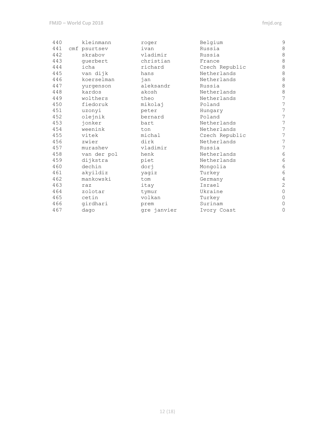| 440 | kleinmann    | roger       | Belgium        | 9                |
|-----|--------------|-------------|----------------|------------------|
| 441 | cmf psurtsev | ivan        | Russia         | $\,8\,$          |
| 442 | skrabov      | vladimir    | Russia         | $\,8\,$          |
| 443 | querbert     | christian   | France         | 8                |
| 444 | icha         | richard     | Czech Republic | $\,8\,$          |
| 445 | van dijk     | hans        | Netherlands    | $\,8\,$          |
| 446 | koerselman   | jan         | Netherlands    | $\,8\,$          |
| 447 | yurgenson    | aleksandr   | Russia         | $\,8\,$          |
| 448 | kardos       | akosh       | Netherlands    | $\,8\,$          |
| 449 | wolthers     | theo        | Netherlands    | $\overline{7}$   |
| 450 | fiedoruk     | mikolaj     | Poland         | $\overline{7}$   |
| 451 | uzonyi       | peter       | Hungary        | 7                |
| 452 | olejnik      | bernard     | Poland         | $\boldsymbol{7}$ |
| 453 | jonker       | bart        | Netherlands    | $\boldsymbol{7}$ |
| 454 | weenink      | ton         | Netherlands    | $\overline{7}$   |
| 455 | vitek        | michal      | Czech Republic | $\boldsymbol{7}$ |
| 456 | zwier        | dirk        | Netherlands    | 7                |
| 457 | murashev     | vladimir    | Russia         | $\overline{7}$   |
| 458 | van der pol  | henk        | Netherlands    | $\sqrt{6}$       |
| 459 | dijkstra     | piet        | Netherlands    | $6\phantom{.}6$  |
| 460 | dechin       | dorj        | Mongolia       | $6\,$            |
| 461 | akyildiz     | yagiz       | Turkey         | $6\,$            |
| 462 | mankowski    | tom         | Germany        | $\sqrt{4}$       |
| 463 | raz          | itay        | Israel         | $\overline{c}$   |
| 464 | zolotar      | tymur       | Ukraine        | $\mathbb O$      |
| 465 | cetin        | volkan      | Turkey         | $\mathbf 0$      |
| 466 | girdhari     | prem        | Surinam        | $\mathbf{0}$     |
| 467 | dago         | gre janvier | Ivory Coast    | 0                |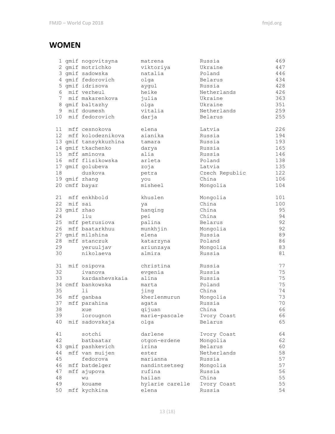#### **WOMEN**

|                 |              | 1 gmif nogovitsyna    | matrena         | Russia         | 469 |
|-----------------|--------------|-----------------------|-----------------|----------------|-----|
|                 |              | 2 gmif motrichko      | viktoriya       | Ukraine        | 447 |
|                 |              | 3 gmif sadowska       | natalia         | Poland         | 446 |
|                 |              | 4 gmif fedorovich     | olga            | Belarus        | 434 |
|                 |              | 5 gmif idrisova       | aygul           | Russia         | 428 |
| 6               |              | mif verheul           | heike           | Netherlands    | 426 |
| 7               |              | mif makarenkova       | julia           | Ukraine        | 363 |
|                 |              | 8 gmif baltazhy       | olga            | Ukraine        | 351 |
|                 |              | 9 mif doumesh         | vitalia         | Netherlands    | 259 |
| 10 <sub>1</sub> |              | mif fedorovich        | darja           | Belarus        | 255 |
|                 |              |                       |                 |                |     |
|                 |              | 11 mff cesnokova      | elena           | Latvia         | 226 |
|                 |              | 12 mff kolodeznikova  | aianika         | Russia         | 194 |
|                 |              | 13 gmif tansykkuzhina | tamara          | Russia         | 193 |
|                 |              | 14 gmif tkachenko     | darya           | Russia         | 165 |
| 15              |              | mff aminova           | alia            | Russia         | 146 |
| 16              |              | mff flisikowska       | arleta          | Poland         | 138 |
|                 |              | 17 gmif golubeva      | zoja            | Latvia         | 135 |
| 18              |              | duskova               | petra           | Czech Republic | 122 |
|                 |              | 19 gmif zhang         | you             | China          | 106 |
|                 |              | 20 cmff bayar         | misheel         | Mongolia       | 104 |
|                 |              |                       |                 |                |     |
| 21              |              | mff enkhbold          | khuslen         | Mongolia       | 101 |
| 22              | mif sai      |                       |                 | China          | 100 |
|                 | 23 gmif zhao |                       | ya              | China          | 95  |
| 24              |              | liu                   | hanqing         | China          | 94  |
|                 |              | 25 mff petrusiova     | pei             |                | 92  |
|                 |              | 26 mff baatarkhuu     | palina          | Belarus        |     |
|                 |              |                       | munkhjin        | Mongolia       | 92  |
|                 |              | 27 gmif milshina      | elena           | Russia         | 89  |
| 28              |              | mff stanczuk          | katarzyna       | Poland         | 86  |
| 29              |              | yeruuljav             | ariunzaya       | Mongolia       | 83  |
| 30              |              | nikolaeva             | almira          | Russia         | 81  |
|                 |              |                       |                 |                |     |
| 31              |              | mif osipova           | christina       | Russia         | 77  |
| 32              |              | ivanova               | evgenia         | Russia         | 75  |
| 33              |              | kardashevskaia        | alina           | Russia         | 75  |
|                 |              | 34 cmff bankowska     | marta           | Poland         | 75  |
| 35              |              | 11                    | jing            | China          | 74  |
|                 |              | 36 mff ganbaa         | kherlenmurun    | Mongolia       | 73  |
|                 |              | 37 mff parahina       | agata           | Russia         | 70  |
| 38              |              | xue                   | qijuan          | China          | 66  |
| 39              |              | lorougnon             | marie-pascale   | Ivory Coast    | 66  |
| 40              |              | mif sadovskaja        | olga            | Belarus        | 65  |
|                 |              |                       |                 |                |     |
| 41              |              | sotchi                | darlene         | Ivory Coast    | 64  |
| 42              |              | batbaatar             | otgon-erdene    | Mongolia       | 62  |
|                 |              | 43 gmif pashkevich    | irina           | Belarus        | 60  |
| 44              |              | mff van muijen        | ester           | Netherlands    | 58  |
| 45              |              | fedorova              | marianna        | Russia         | 57  |
| 46              |              | mff batdelger         | nandintsetseg   | Mongolia       | 57  |
| 47              |              | mff ajupova           | rufina          | Russia         | 56  |
| 48              |              | wu                    | hailan          | China          | 55  |
| 49              |              | kouame                | hylarie carelle | Ivory Coast    | 55  |
| 50              |              | mff kychkina          | elena           | Russia         | 54  |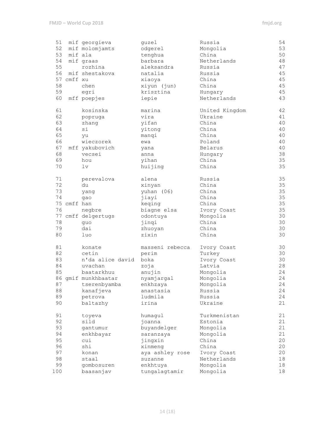| 51<br>52 |             | mif georgieva<br>mif molomjamts | guzel<br>odgerel | Russia<br>Mongolia | 54<br>53 |
|----------|-------------|---------------------------------|------------------|--------------------|----------|
| 53       |             | mif ala                         |                  | China              | 50       |
|          |             |                                 | tenghua          |                    |          |
| 54       |             | mif graas                       | barbara          | Netherlands        | 48       |
| 55       |             | rozhina                         | aleksandra       | Russia             | 47       |
| 56       |             | mif shestakova                  | natalia          | Russia             | 45       |
|          | 57 cmff xu  |                                 | xiaoya           | China              | 45       |
| 58       |             | chen                            | xiyun (jun)      | China              | 45       |
| 59       |             | egri                            | krisztina        | Hungary            | 45       |
| 60       |             | mff poepjes                     | iepie            | Netherlands        | 43       |
| 61       |             | kosinska                        | marina           | United Kingdom     | 42       |
| 62       |             | popruga                         | vira             | Ukraine            | 41       |
| 63       |             | zhang                           | yifan            | China              | 40       |
| 64       |             | si                              | yitong           | China              | 40       |
| 65       |             | yu                              | manqi            | China              | 40       |
| 66       |             | wieczorek                       | ewa              | Poland             | 40       |
| 67       |             | mff yakubovich                  | yana             | Belarus            | 40       |
| 68       |             | vecsei                          | anna             | Hungary            | 38       |
| 69       |             | hou                             | yihan            | China              | 35       |
| 70       |             | 1v                              | huijing          | China              | 35       |
|          |             |                                 |                  |                    |          |
| 71       |             | perevalova                      | alena            | Russia             | 35       |
| 72       |             | du                              | xinyan           | China              | 35       |
| 73       |             | yang                            | yuhan (06)       | China              | 35       |
| 74       |             | gao                             | jiayi            | China              | 35       |
|          | 75 cmff han |                                 | keqing           | China              | 35       |
| 76       |             | negbre                          | biagne elsa      | Ivory Coast        | 35       |
|          |             | 77 cmff delgertugs              | odontuya         | Mongolia           | 30       |
| 78       |             | quo                             | jinqi            | China              | 30       |
| 79       |             | dai                             | zhuoyan          | China              | 30       |
| 80       |             | luo                             | zixin            | China              | 30       |
| 81       |             | konate                          | masseni rebecca  | Ivory Coast        | 30       |
| 82       |             | cetin                           | perim            | Turkey             | 30       |
| 83       |             | n'da alice david                | boka             | Ivory Coast        | 30       |
| 84       |             | uvachan                         | zoja             | Latvia             | 28       |
| 85       |             | baatarkhuu                      | anujin           | Mongolia           | 24       |
|          |             | 86 qmif munkhbaatar             | nyamjargal       | Mongolia           | 24       |
|          |             | 87 tserenbyamba                 | enkhzaya         | Mongolia           | 24       |
| 88       |             | kanafjeva                       | anastasia        | Russia             | 24       |
| 89       |             |                                 |                  |                    | 24       |
|          |             | petrova                         | ludmila          | Russia             |          |
| 90       |             | baltazhy                        | irina            | Ukraine            | 21       |
| 91       |             | toyeva                          | humagul          | Turkmenistan       | 21       |
| 92       |             | sild                            | joanna           | Estonia            | 21       |
| 93       |             | gantumur                        | buyandelger      | Mongolia           | 21       |
| 94       |             | enkhbayar                       | saranzaya        | Mongolia           | 21       |
| 95       |             | cui                             | jingxin          | China              | 20       |
| 96       |             | shi                             | xinmeng          | China              | 20       |
| 97       |             | konan                           | aya ashley rose  | Ivory Coast        | 20       |
| 98       |             | staal                           | suzanne          | Netherlands        | 18       |
| 99       |             | gombosuren                      | enkhtuya         | Mongolia           | 18       |
| 100      |             | baasanjav                       | tungalagtamir    | Mongolia           | 18       |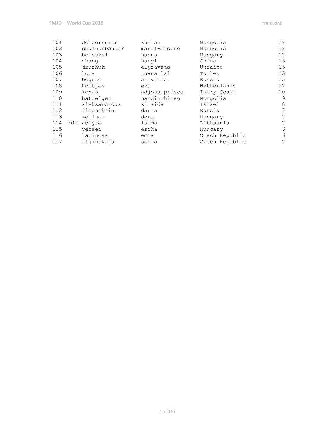| 101 | dolgorsuren   | khulan        | Mongolia       | 18                |
|-----|---------------|---------------|----------------|-------------------|
| 102 | chuluunbaatar | maral-erdene  | Mongolia       | 18                |
| 103 | bolcskei      | hanna         | Hungary        | 17                |
| 104 | zhang         | hanyi         | China          | 15                |
| 105 | druzhuk       | elyzaveta     | Ukraine        | 15                |
| 106 | koca          | tuana lal     | Turkey         | 15                |
| 107 | boquto        | alevtina      | Russia         | 15                |
| 108 | houtjes       | eva           | Netherlands    | $12 \overline{ }$ |
| 109 | konan         | adjoua prisca | Ivory Coast    | 10 <sup>°</sup>   |
| 110 | batdelger     | nandinchimeg  | Mongolia       | 9                 |
| 111 | aleksandrova  | zinaida       | Israel         | 8                 |
| 112 | ilmenskaia    | daria         | Russia         | 7                 |
| 113 | kollner       | dora          | Hungary        | 7                 |
| 114 | mif adlyte    | laima         | Lithuania      | 7                 |
| 115 | vecsei        | erika         | Hungary        | 6                 |
| 116 | lacinova      | emma          | Czech Republic | 6                 |
| 117 | iljinskaja    | sofia         | Czech Republic | 2                 |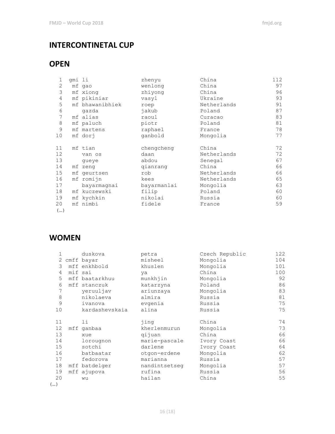#### **INTERCONTINETAL CUP**

#### **OPEN**

| 1               | gmi li |                 | zhenyu      | China       | 112 |
|-----------------|--------|-----------------|-------------|-------------|-----|
| 2               |        | mf qao          | wenlong     | China       | 97  |
| 3               |        | mf xiong        | zhiyong     | China       | 96  |
| 4               |        | mf pikiniar     | vasyl       | Ukraine     | 93  |
| 5               |        | mf bhawanibhiek | roep        | Netherlands | 91  |
| 6               |        | qazda           | jakub       | Poland      | 87  |
| 7               |        | mf alias        | raoul       | Curacao     | 83  |
| 8               |        | mf paluch       | piotr       | Poland      | 81  |
| 9               |        | mf martens      | raphael     | France      | 78  |
| 10              |        | mf dorj         | qanbold     | Mongolia    | 77  |
|                 |        |                 |             |             |     |
| 11              |        | mf tian         | chengcheng  | China       | 72  |
| 12 <sup>°</sup> |        | van os          | daan        | Netherlands | 72  |
| 13              |        | queye           | abdou       | Senegal     | 67  |
| 14              |        | mf zeng         | qianrang    | China       | 66  |
| 15              |        | mf geurtsen     | rob         | Netherlands | 66  |
| 16              |        | mf romijn       | kees        | Netherlands | 65  |
| 17              |        | bayarmagnai     | bayarmanlai | Mongolia    | 63  |
| 18              |        | mf kuczewski    | filip       | Poland      | 60  |
| 19              |        | mf kychkin      | nikolai     | Russia      | 60  |
| 20              |        | mf nimbi        | fidele      | France      | 59  |
| ()              |        |                 |             |             |     |

#### **WOMEN**

|    | duskova        | petra         | Czech Republic | 122 |
|----|----------------|---------------|----------------|-----|
| 2  | cmff bayar     | misheel       | Mongolia       | 104 |
| 3  | mff enkhbold   | khuslen       | Mongolia       | 101 |
| 4  | mif sai        | ya            | China          | 100 |
| 5  | mff baatarkhuu | munkhjin      | Mongolia       | 92  |
| 6  | mff stanczuk   | katarzyna     | Poland         | 86  |
| 7  | yeruuljav      | ariunzaya     | Mongolia       | 83  |
| 8  | nikolaeva      | almira        | Russia         | 81  |
| 9  | ivanova        | evqenia       | Russia         | 75  |
| 10 | kardashevskaia | alina         | Russia         | 75  |
|    |                |               |                |     |
| 11 | 1i             | jing          | China          | 74  |
| 12 | mff qanbaa     | kherlenmurun  | Mongolia       | 73  |
| 13 | xue            | qijuan        | China          | 66  |
| 14 | lorougnon      | marie-pascale | Ivory Coast    | 66  |
| 15 | sotchi         | darlene       | Ivory Coast    | 64  |
| 16 | batbaatar      | otgon-erdene  | Mongolia       | 62  |
| 17 | fedorova       | marianna      | Russia         | 57  |
| 18 | mff batdelger  | nandintsetseg | Mongolia       | 57  |
| 19 | mff ajupova    | rufina        | Russia         | 56  |
| 20 | wu             | hailan        | China          | 55  |
| () |                |               |                |     |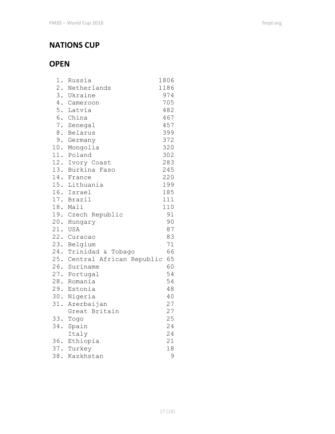#### **NATIONS CUP**

#### **OPEN**

| 1.  | Russia                       | 1806 |
|-----|------------------------------|------|
|     | 2. Netherlands               | 1186 |
|     | 3. Ukraine                   | 974  |
|     | 4. Cameroon                  | 705  |
|     | 5. Latvia                    | 482  |
|     | 6. China                     | 467  |
|     | 7. Senegal                   | 457  |
|     | 8. Belarus                   | 399  |
|     | 9. Germany                   | 372  |
|     | 10. Mongolia                 | 320  |
|     | 11. Poland                   | 302  |
|     | 12. Ivory Coast              | 283  |
|     | 13. Burkina Faso             | 245  |
|     | 14. France                   | 220  |
|     | 15. Lithuania                | 199  |
|     | 16. Israel                   | 185  |
|     | 17. Brazil                   | 111  |
|     | 18. Mali                     | 110  |
|     | 19. Czech Republic           | 91   |
|     | 20. Hungary                  | 90   |
|     | 21. USA                      | 87   |
|     | 22. Curacao                  | 83   |
|     | 23. Belgium                  | 71   |
|     | 24. Trinidad & Tobago        | 66   |
|     | 25. Central African Republic | 65   |
|     | 26. Suriname                 | 60   |
|     | 27. Portugal                 | 54   |
|     | 28. Romania                  | 54   |
|     | 29. Estonia                  | 48   |
|     | 30. Nigeria                  | 40   |
| 31. | Azerbaijan                   | 27   |
|     | Great Britain                | 27   |
|     | 33. Togo                     | 25   |
|     | 34. Spain                    | 24   |
|     | Italy                        | 24   |
|     | 36. Ethiopia                 | 21   |
|     | 37. Turkey                   | 18   |
| 38. | Kazkhstan                    | 9    |